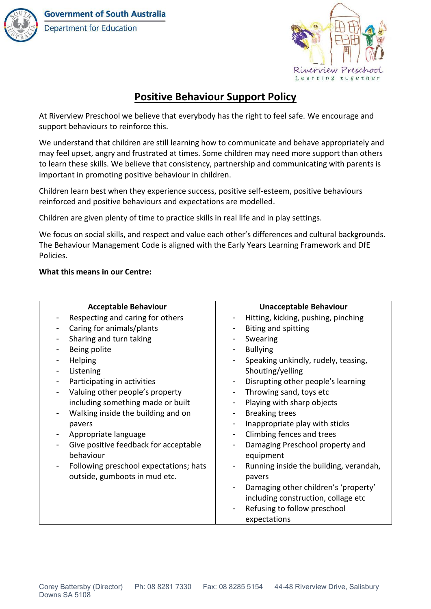**Government of South Australia Department for Education** 



## **Positive Behaviour Support Policy**

At Riverview Preschool we believe that everybody has the right to feel safe. We encourage and support behaviours to reinforce this.

We understand that children are still learning how to communicate and behave appropriately and may feel upset, angry and frustrated at times. Some children may need more support than others to learn these skills. We believe that consistency, partnership and communicating with parents is important in promoting positive behaviour in children.

Children learn best when they experience success, positive self-esteem, positive behaviours reinforced and positive behaviours and expectations are modelled.

Children are given plenty of time to practice skills in real life and in play settings.

We focus on social skills, and respect and value each other's differences and cultural backgrounds. The Behaviour Management Code is aligned with the Early Years Learning Framework and DfE Policies.

## **What this means in our Centre:**

| <b>Acceptable Behaviour</b>            | <b>Unacceptable Behaviour</b>                   |
|----------------------------------------|-------------------------------------------------|
| Respecting and caring for others       | Hitting, kicking, pushing, pinching<br>۰        |
| Caring for animals/plants              | Biting and spitting                             |
| Sharing and turn taking                | Swearing                                        |
| Being polite                           | <b>Bullying</b><br>$\qquad \qquad \blacksquare$ |
| Helping                                | Speaking unkindly, rudely, teasing,             |
| Listening                              | Shouting/yelling                                |
| Participating in activities            | Disrupting other people's learning<br>۰         |
| Valuing other people's property        | Throwing sand, toys etc<br>$\blacksquare$       |
| including something made or built      | Playing with sharp objects                      |
| Walking inside the building and on     | <b>Breaking trees</b>                           |
| pavers                                 | Inappropriate play with sticks                  |
| Appropriate language                   | Climbing fences and trees<br>-                  |
| Give positive feedback for acceptable  | Damaging Preschool property and                 |
| behaviour                              | equipment                                       |
| Following preschool expectations; hats | Running inside the building, verandah,          |
| outside, gumboots in mud etc.          | pavers                                          |
|                                        | Damaging other children's 'property'            |
|                                        | including construction, collage etc             |
|                                        | Refusing to follow preschool                    |
|                                        | expectations                                    |